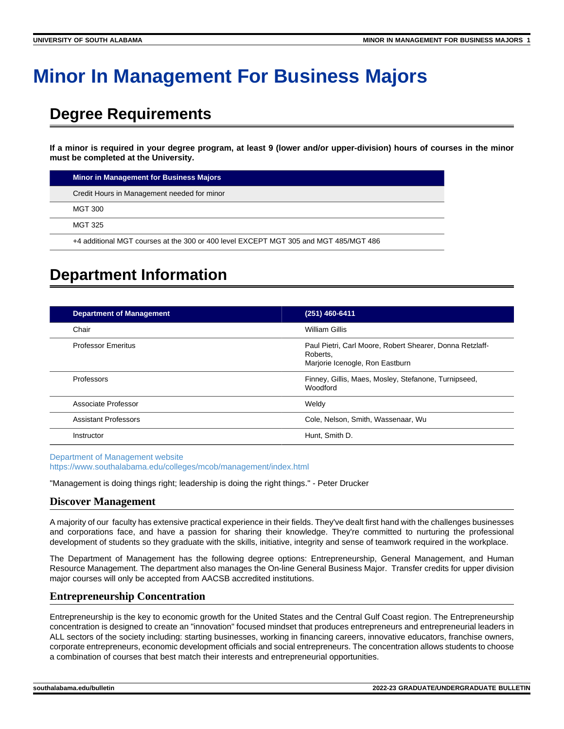# **Minor In Management For Business Majors**

# **Degree Requirements**

**If a minor is required in your degree program, at least 9 (lower and/or upper-division) hours of courses in the minor must be completed at the University.**

| Minor in Management for Business Majors                                              |
|--------------------------------------------------------------------------------------|
| Credit Hours in Management needed for minor                                          |
| MGT 300                                                                              |
| MGT 325                                                                              |
| +4 additional MGT courses at the 300 or 400 level EXCEPT MGT 305 and MGT 485/MGT 486 |

## **Department Information**

| <b>Department of Management</b> | (251) 460-6411                                                                                          |
|---------------------------------|---------------------------------------------------------------------------------------------------------|
| Chair                           | William Gillis                                                                                          |
| <b>Professor Emeritus</b>       | Paul Pietri, Carl Moore, Robert Shearer, Donna Retzlaff-<br>Roberts,<br>Marjorie Icenogle, Ron Eastburn |
| Professors                      | Finney, Gillis, Maes, Mosley, Stefanone, Turnipseed,<br><b>Woodford</b>                                 |
| Associate Professor             | Weldy                                                                                                   |
| <b>Assistant Professors</b>     | Cole, Nelson, Smith, Wassenaar, Wu                                                                      |
| Instructor                      | Hunt. Smith D.                                                                                          |

[Department of Management website](https://www.southalabama.edu/colleges/mcob/management/index.html)

<https://www.southalabama.edu/colleges/mcob/management/index.html>

"Management is doing things right; leadership is doing the right things." - Peter Drucker

### **Discover Management**

A majority of our faculty has extensive practical experience in their fields. They've dealt first hand with the challenges businesses and corporations face, and have a passion for sharing their knowledge. They're committed to nurturing the professional development of students so they graduate with the skills, initiative, integrity and sense of teamwork required in the workplace.

The Department of Management has the following degree options: Entrepreneurship, General Management, and Human Resource Management. The department also manages the On-line General Business Major. Transfer credits for upper division major courses will only be accepted from AACSB accredited institutions.

### **Entrepreneurship Concentration**

Entrepreneurship is the key to economic growth for the United States and the Central Gulf Coast region. The Entrepreneurship concentration is designed to create an "innovation" focused mindset that produces entrepreneurs and entrepreneurial leaders in ALL sectors of the society including: starting businesses, working in financing careers, innovative educators, franchise owners, corporate entrepreneurs, economic development officials and social entrepreneurs. The concentration allows students to choose a combination of courses that best match their interests and entrepreneurial opportunities.